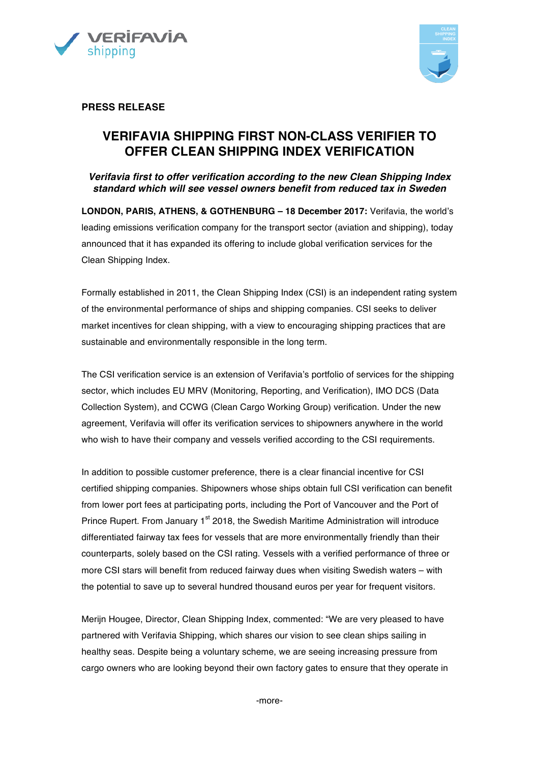



**PRESS RELEASE**

# **VERIFAVIA SHIPPING FIRST NON-CLASS VERIFIER TO OFFER CLEAN SHIPPING INDEX VERIFICATION**

*Verifavia first to offer verification according to the new Clean Shipping Index standard which will see vessel owners benefit from reduced tax in Sweden*

**LONDON, PARIS, ATHENS, & GOTHENBURG – 18 December 2017:** Verifavia, the world's leading emissions verification company for the transport sector (aviation and shipping), today announced that it has expanded its offering to include global verification services for the Clean Shipping Index.

Formally established in 2011, the Clean Shipping Index (CSI) is an independent rating system of the environmental performance of ships and shipping companies. CSI seeks to deliver market incentives for clean shipping, with a view to encouraging shipping practices that are sustainable and environmentally responsible in the long term.

The CSI verification service is an extension of Verifavia's portfolio of services for the shipping sector, which includes EU MRV (Monitoring, Reporting, and Verification), IMO DCS (Data Collection System), and CCWG (Clean Cargo Working Group) verification. Under the new agreement, Verifavia will offer its verification services to shipowners anywhere in the world who wish to have their company and vessels verified according to the CSI requirements.

In addition to possible customer preference, there is a clear financial incentive for CSI certified shipping companies. Shipowners whose ships obtain full CSI verification can benefit from lower port fees at participating ports, including the Port of Vancouver and the Port of Prince Rupert. From January 1<sup>st</sup> 2018, the Swedish Maritime Administration will introduce differentiated fairway tax fees for vessels that are more environmentally friendly than their counterparts, solely based on the CSI rating. Vessels with a verified performance of three or more CSI stars will benefit from reduced fairway dues when visiting Swedish waters – with the potential to save up to several hundred thousand euros per year for frequent visitors.

Merijn Hougee, Director, Clean Shipping Index, commented: "We are very pleased to have partnered with Verifavia Shipping, which shares our vision to see clean ships sailing in healthy seas. Despite being a voluntary scheme, we are seeing increasing pressure from cargo owners who are looking beyond their own factory gates to ensure that they operate in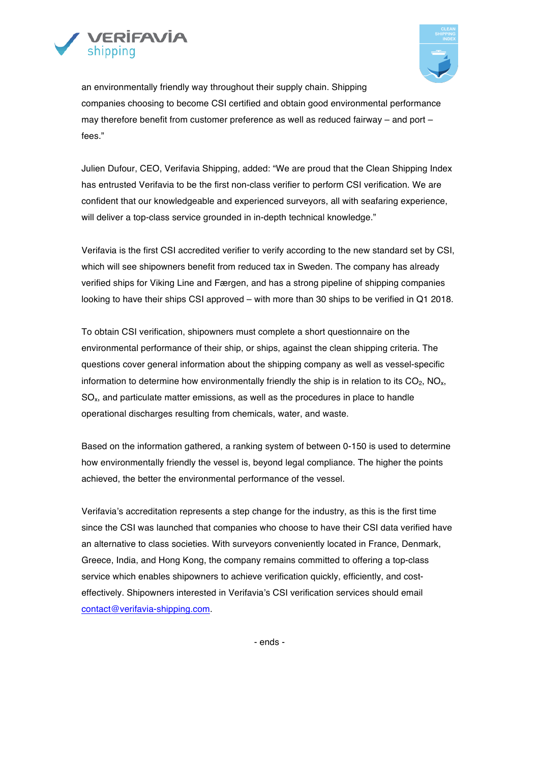



an environmentally friendly way throughout their supply chain. Shipping companies choosing to become CSI certified and obtain good environmental performance may therefore benefit from customer preference as well as reduced fairway – and port – fees."

Julien Dufour, CEO, Verifavia Shipping, added: "We are proud that the Clean Shipping Index has entrusted Verifavia to be the first non-class verifier to perform CSI verification. We are confident that our knowledgeable and experienced surveyors, all with seafaring experience, will deliver a top-class service grounded in in-depth technical knowledge."

Verifavia is the first CSI accredited verifier to verify according to the new standard set by CSI, which will see shipowners benefit from reduced tax in Sweden. The company has already verified ships for Viking Line and Færgen, and has a strong pipeline of shipping companies looking to have their ships CSI approved – with more than 30 ships to be verified in Q1 2018.

To obtain CSI verification, shipowners must complete a short questionnaire on the environmental performance of their ship, or ships, against the clean shipping criteria. The questions cover general information about the shipping company as well as vessel-specific information to determine how environmentally friendly the ship is in relation to its  $CO<sub>2</sub>$ , NO<sub>x</sub>, SOx, and particulate matter emissions, as well as the procedures in place to handle operational discharges resulting from chemicals, water, and waste.

Based on the information gathered, a ranking system of between 0-150 is used to determine how environmentally friendly the vessel is, beyond legal compliance. The higher the points achieved, the better the environmental performance of the vessel.

Verifavia's accreditation represents a step change for the industry, as this is the first time since the CSI was launched that companies who choose to have their CSI data verified have an alternative to class societies. With surveyors conveniently located in France, Denmark, Greece, India, and Hong Kong, the company remains committed to offering a top-class service which enables shipowners to achieve verification quickly, efficiently, and costeffectively. Shipowners interested in Verifavia's CSI verification services should email contact@verifavia-shipping.com.

- ends -